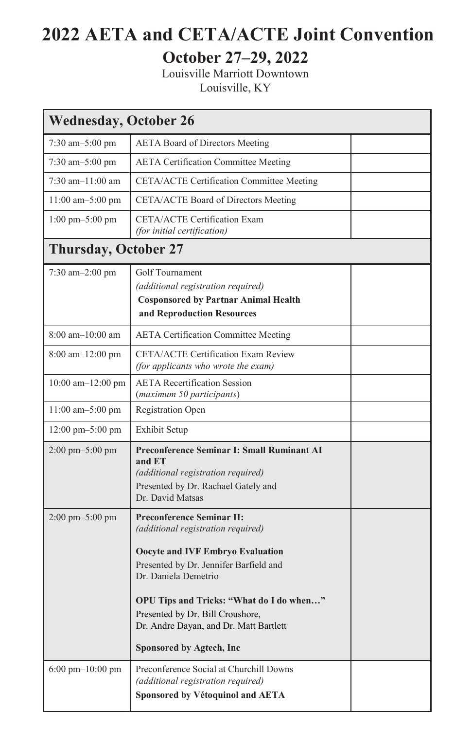## **2022 AETA and CETA/ACTE Joint Convention**

## **October 27–29, 2022**

Louisville Marriott Downtown Louisville, KY

| <b>Wednesday, October 26</b>         |                                                                                                                                                                                                                                                                                                                                    |  |  |  |
|--------------------------------------|------------------------------------------------------------------------------------------------------------------------------------------------------------------------------------------------------------------------------------------------------------------------------------------------------------------------------------|--|--|--|
| $7:30$ am $-5:00$ pm                 | <b>AETA Board of Directors Meeting</b>                                                                                                                                                                                                                                                                                             |  |  |  |
| $7:30$ am $-5:00$ pm                 | <b>AETA Certification Committee Meeting</b>                                                                                                                                                                                                                                                                                        |  |  |  |
| $7:30$ am $-11:00$ am                | CETA/ACTE Certification Committee Meeting                                                                                                                                                                                                                                                                                          |  |  |  |
| $11:00$ am $-5:00$ pm                | CETA/ACTE Board of Directors Meeting                                                                                                                                                                                                                                                                                               |  |  |  |
| $1:00 \text{ pm}-5:00 \text{ pm}$    | CETA/ACTE Certification Exam<br>(for initial certification)                                                                                                                                                                                                                                                                        |  |  |  |
| <b>Thursday, October 27</b>          |                                                                                                                                                                                                                                                                                                                                    |  |  |  |
| 7:30 am-2:00 pm                      | <b>Golf Tournament</b><br>(additional registration required)<br><b>Cosponsored by Partnar Animal Health</b><br>and Reproduction Resources                                                                                                                                                                                          |  |  |  |
| $8:00$ am $-10:00$ am                | <b>AETA Certification Committee Meeting</b>                                                                                                                                                                                                                                                                                        |  |  |  |
| $8:00$ am $-12:00$ pm                | <b>CETA/ACTE Certification Exam Review</b><br>(for applicants who wrote the exam)                                                                                                                                                                                                                                                  |  |  |  |
| $10:00$ am $-12:00$ pm               | <b>AETA</b> Recertification Session<br>(maximum 50 participants)                                                                                                                                                                                                                                                                   |  |  |  |
| $11:00$ am $-5:00$ pm                | <b>Registration Open</b>                                                                                                                                                                                                                                                                                                           |  |  |  |
| $12:00 \text{ pm} - 5:00 \text{ pm}$ | Exhibit Setup                                                                                                                                                                                                                                                                                                                      |  |  |  |
| $2:00 \text{ pm} - 5:00 \text{ pm}$  | <b>Preconference Seminar I: Small Ruminant AI</b><br>and ET<br>(additional registration required)<br>Presented by Dr. Rachael Gately and<br>Dr. David Matsas                                                                                                                                                                       |  |  |  |
| 2:00 pm-5:00 pm                      | <b>Preconference Seminar II:</b><br>(additional registration required)<br>Oocyte and IVF Embryo Evaluation<br>Presented by Dr. Jennifer Barfield and<br>Dr. Daniela Demetrio<br>OPU Tips and Tricks: "What do I do when"<br>Presented by Dr. Bill Croushore,<br>Dr. Andre Dayan, and Dr. Matt Bartlett<br>Sponsored by Agtech, Inc |  |  |  |
| $6:00 \text{ pm} - 10:00 \text{ pm}$ | Preconference Social at Churchill Downs<br>(additional registration required)<br><b>Sponsored by Vétoquinol and AETA</b>                                                                                                                                                                                                           |  |  |  |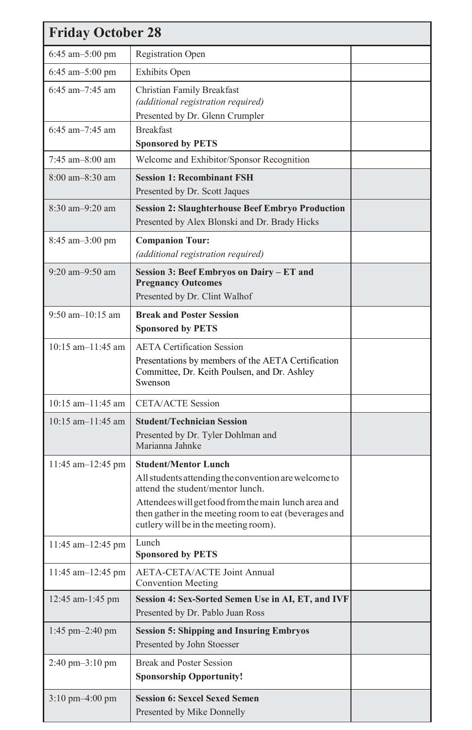| <b>Friday October 28</b>            |                                                                                                                                                                                                                                                                                   |  |  |  |
|-------------------------------------|-----------------------------------------------------------------------------------------------------------------------------------------------------------------------------------------------------------------------------------------------------------------------------------|--|--|--|
| 6:45 am $-5:00$ pm                  | Registration Open                                                                                                                                                                                                                                                                 |  |  |  |
| $6:45$ am $-5:00$ pm                | Exhibits Open                                                                                                                                                                                                                                                                     |  |  |  |
| $6:45$ am $-7:45$ am                | Christian Family Breakfast<br>(additional registration required)<br>Presented by Dr. Glenn Crumpler                                                                                                                                                                               |  |  |  |
| $6:45$ am $-7:45$ am                | <b>Breakfast</b><br><b>Sponsored by PETS</b>                                                                                                                                                                                                                                      |  |  |  |
| $7:45$ am $-8:00$ am                | Welcome and Exhibitor/Sponsor Recognition                                                                                                                                                                                                                                         |  |  |  |
| $8:00$ am $-8:30$ am                | <b>Session 1: Recombinant FSH</b><br>Presented by Dr. Scott Jaques                                                                                                                                                                                                                |  |  |  |
| $8:30$ am $-9:20$ am                | <b>Session 2: Slaughterhouse Beef Embryo Production</b><br>Presented by Alex Blonski and Dr. Brady Hicks                                                                                                                                                                          |  |  |  |
| $8:45$ am $-3:00$ pm                | <b>Companion Tour:</b><br>(additional registration required)                                                                                                                                                                                                                      |  |  |  |
| $9:20$ am $-9:50$ am                | Session 3: Beef Embryos on Dairy – ET and<br><b>Pregnancy Outcomes</b><br>Presented by Dr. Clint Walhof                                                                                                                                                                           |  |  |  |
| $9:50$ am $-10:15$ am               | <b>Break and Poster Session</b><br><b>Sponsored by PETS</b>                                                                                                                                                                                                                       |  |  |  |
| $10:15$ am $-11:45$ am              | <b>AETA</b> Certification Session<br>Presentations by members of the AETA Certification<br>Committee, Dr. Keith Poulsen, and Dr. Ashley<br>Swenson                                                                                                                                |  |  |  |
| $10:15$ am $-11:45$ am              | <b>CETA/ACTE Session</b>                                                                                                                                                                                                                                                          |  |  |  |
| $10:15$ am $-11:45$ am              | <b>Student/Technician Session</b><br>Presented by Dr. Tyler Dohlman and<br>Marianna Jahnke                                                                                                                                                                                        |  |  |  |
| 11:45 am-12:45 pm                   | <b>Student/Mentor Lunch</b><br>All students attending the convention are welcome to<br>attend the student/mentor lunch.<br>Attendees will get food from the main lunch area and<br>then gather in the meeting room to eat (beverages and<br>cutlery will be in the meeting room). |  |  |  |
| 11:45 am-12:45 pm                   | Lunch<br><b>Sponsored by PETS</b>                                                                                                                                                                                                                                                 |  |  |  |
| 11:45 am-12:45 pm                   | <b>AETA-CETA/ACTE Joint Annual</b><br><b>Convention Meeting</b>                                                                                                                                                                                                                   |  |  |  |
| 12:45 am-1:45 pm                    | Session 4: Sex-Sorted Semen Use in AI, ET, and IVF<br>Presented by Dr. Pablo Juan Ross                                                                                                                                                                                            |  |  |  |
| $1:45 \text{ pm} - 2:40 \text{ pm}$ | <b>Session 5: Shipping and Insuring Embryos</b><br>Presented by John Stoesser                                                                                                                                                                                                     |  |  |  |
| $2:40 \text{ pm} - 3:10 \text{ pm}$ | <b>Break and Poster Session</b><br><b>Sponsorship Opportunity!</b>                                                                                                                                                                                                                |  |  |  |
| $3:10 \text{ pm} - 4:00 \text{ pm}$ | <b>Session 6: Sexcel Sexed Semen</b><br>Presented by Mike Donnelly                                                                                                                                                                                                                |  |  |  |